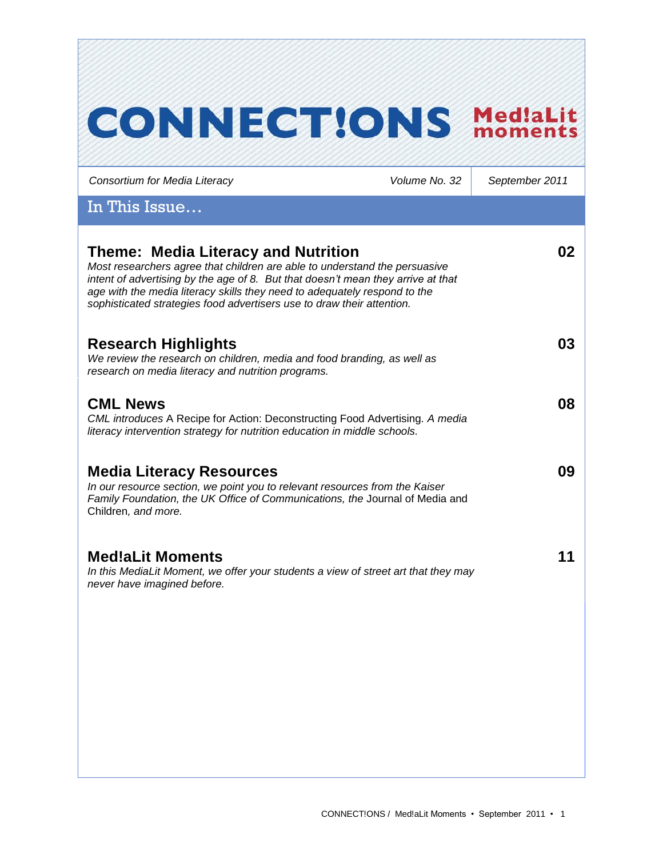| <b>CONNECTIONS</b>                                                                                                                                                                                                                                                                                                                                           |               | Med!aLit<br>moments |
|--------------------------------------------------------------------------------------------------------------------------------------------------------------------------------------------------------------------------------------------------------------------------------------------------------------------------------------------------------------|---------------|---------------------|
| Consortium for Media Literacy                                                                                                                                                                                                                                                                                                                                | Volume No. 32 | September 2011      |
| In This Issue                                                                                                                                                                                                                                                                                                                                                |               |                     |
| Theme: Media Literacy and Nutrition<br>Most researchers agree that children are able to understand the persuasive<br>intent of advertising by the age of 8. But that doesn't mean they arrive at that<br>age with the media literacy skills they need to adequately respond to the<br>sophisticated strategies food advertisers use to draw their attention. |               | 02                  |
| <b>Research Highlights</b><br>We review the research on children, media and food branding, as well as<br>research on media literacy and nutrition programs.                                                                                                                                                                                                  |               | 03                  |
| <b>CML News</b><br>CML introduces A Recipe for Action: Deconstructing Food Advertising. A media<br>literacy intervention strategy for nutrition education in middle schools.                                                                                                                                                                                 |               | 08                  |
| <b>Media Literacy Resources</b><br>In our resource section, we point you to relevant resources from the Kaiser<br>Family Foundation, the UK Office of Communications, the Journal of Media and<br>Children, and more.                                                                                                                                        |               | 09                  |
| <b>Med!aLit Moments</b><br>In this MediaLit Moment, we offer your students a view of street art that they may<br>never have imagined before.                                                                                                                                                                                                                 |               | 11                  |
|                                                                                                                                                                                                                                                                                                                                                              |               |                     |
|                                                                                                                                                                                                                                                                                                                                                              |               |                     |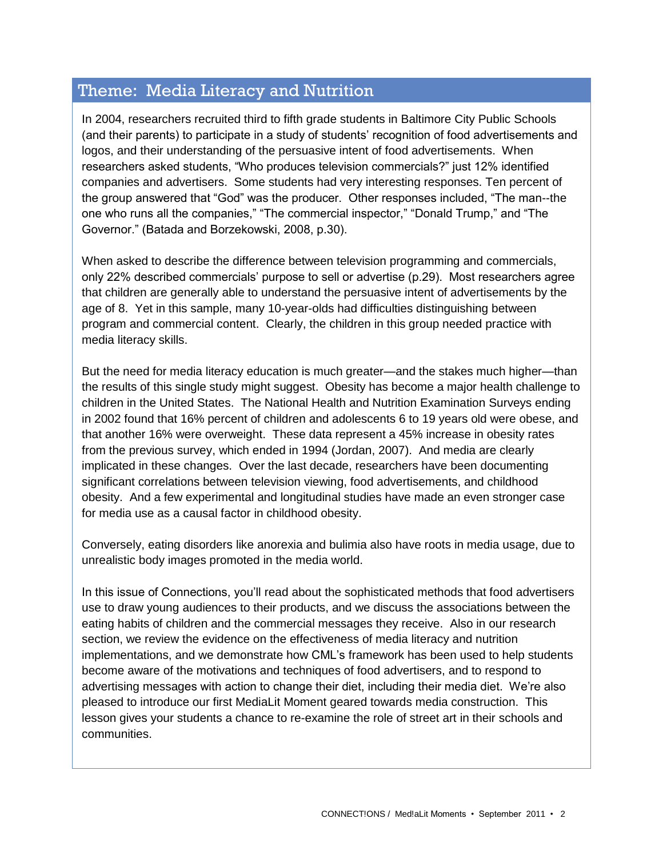## Theme: Media Literacy and Nutrition

In 2004, researchers recruited third to fifth grade students in Baltimore City Public Schools (and their parents) to participate in a study of students' recognition of food advertisements and logos, and their understanding of the persuasive intent of food advertisements. When researchers asked students, "Who produces television commercials?" just 12% identified companies and advertisers. Some students had very interesting responses. Ten percent of the group answered that "God" was the producer. Other responses included, "The man--the one who runs all the companies," "The commercial inspector," "Donald Trump," and "The Governor.‖ (Batada and Borzekowski, 2008, p.30).

When asked to describe the difference between television programming and commercials, only 22% described commercials' purpose to sell or advertise (p.29). Most researchers agree that children are generally able to understand the persuasive intent of advertisements by the age of 8. Yet in this sample, many 10-year-olds had difficulties distinguishing between program and commercial content. Clearly, the children in this group needed practice with media literacy skills.

But the need for media literacy education is much greater—and the stakes much higher—than the results of this single study might suggest. Obesity has become a major health challenge to children in the United States. The National Health and Nutrition Examination Surveys ending in 2002 found that 16% percent of children and adolescents 6 to 19 years old were obese, and that another 16% were overweight. These data represent a 45% increase in obesity rates from the previous survey, which ended in 1994 (Jordan, 2007). And media are clearly implicated in these changes. Over the last decade, researchers have been documenting significant correlations between television viewing, food advertisements, and childhood obesity. And a few experimental and longitudinal studies have made an even stronger case for media use as a causal factor in childhood obesity.

Conversely, eating disorders like anorexia and bulimia also have roots in media usage, due to unrealistic body images promoted in the media world.

In this issue of Connections, you'll read about the sophisticated methods that food advertisers use to draw young audiences to their products, and we discuss the associations between the eating habits of children and the commercial messages they receive. Also in our research section, we review the evidence on the effectiveness of media literacy and nutrition implementations, and we demonstrate how CML's framework has been used to help students become aware of the motivations and techniques of food advertisers, and to respond to advertising messages with action to change their diet, including their media diet. We're also pleased to introduce our first MediaLit Moment geared towards media construction. This lesson gives your students a chance to re-examine the role of street art in their schools and communities.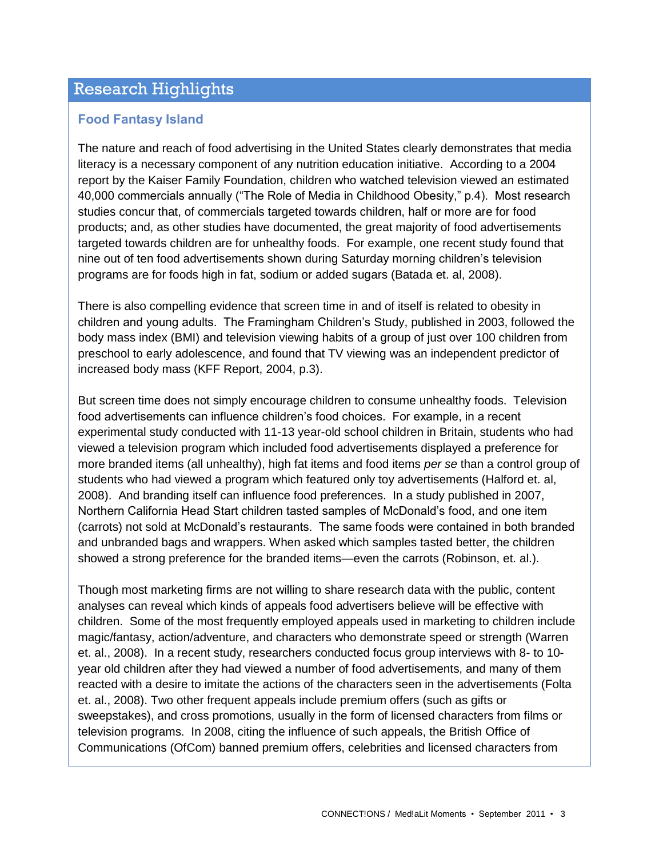## Research Highlights

### **Food Fantasy Island**

The nature and reach of food advertising in the United States clearly demonstrates that media literacy is a necessary component of any nutrition education initiative. According to a 2004 report by the Kaiser Family Foundation, children who watched television viewed an estimated 40,000 commercials annually ("The Role of Media in Childhood Obesity," p.4). Most research studies concur that, of commercials targeted towards children, half or more are for food products; and, as other studies have documented, the great majority of food advertisements targeted towards children are for unhealthy foods. For example, one recent study found that nine out of ten food advertisements shown during Saturday morning children's television programs are for foods high in fat, sodium or added sugars (Batada et. al, 2008).

There is also compelling evidence that screen time in and of itself is related to obesity in children and young adults. The Framingham Children's Study, published in 2003, followed the body mass index (BMI) and television viewing habits of a group of just over 100 children from preschool to early adolescence, and found that TV viewing was an independent predictor of increased body mass (KFF Report, 2004, p.3).

But screen time does not simply encourage children to consume unhealthy foods. Television food advertisements can influence children's food choices. For example, in a recent experimental study conducted with 11-13 year-old school children in Britain, students who had viewed a television program which included food advertisements displayed a preference for more branded items (all unhealthy), high fat items and food items *per se* than a control group of students who had viewed a program which featured only toy advertisements (Halford et. al, 2008). And branding itself can influence food preferences. In a study published in 2007, Northern California Head Start children tasted samples of McDonald's food, and one item (carrots) not sold at McDonald's restaurants. The same foods were contained in both branded and unbranded bags and wrappers. When asked which samples tasted better, the children showed a strong preference for the branded items—even the carrots (Robinson, et. al.).

Though most marketing firms are not willing to share research data with the public, content analyses can reveal which kinds of appeals food advertisers believe will be effective with children. Some of the most frequently employed appeals used in marketing to children include magic/fantasy, action/adventure, and characters who demonstrate speed or strength (Warren et. al., 2008). In a recent study, researchers conducted focus group interviews with 8- to 10 year old children after they had viewed a number of food advertisements, and many of them reacted with a desire to imitate the actions of the characters seen in the advertisements (Folta et. al., 2008). Two other frequent appeals include premium offers (such as gifts or sweepstakes), and cross promotions, usually in the form of licensed characters from films or television programs. In 2008, citing the influence of such appeals, the British Office of Communications (OfCom) banned premium offers, celebrities and licensed characters from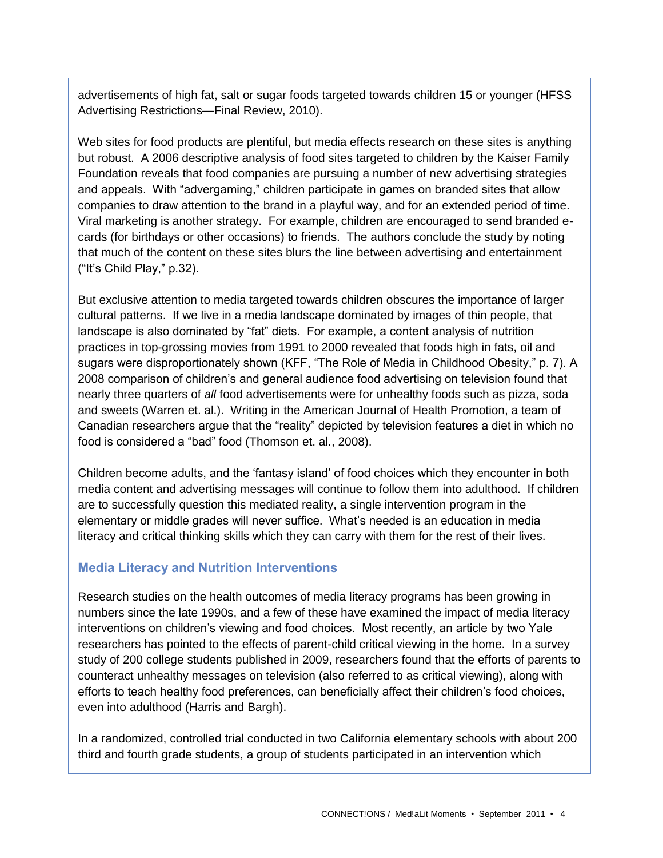advertisements of high fat, salt or sugar foods targeted towards children 15 or younger (HFSS Advertising Restrictions—Final Review, 2010).

Web sites for food products are plentiful, but media effects research on these sites is anything but robust. A 2006 descriptive analysis of food sites targeted to children by the Kaiser Family Foundation reveals that food companies are pursuing a number of new advertising strategies and appeals. With "advergaming," children participate in games on branded sites that allow companies to draw attention to the brand in a playful way, and for an extended period of time. Viral marketing is another strategy. For example, children are encouraged to send branded ecards (for birthdays or other occasions) to friends. The authors conclude the study by noting that much of the content on these sites blurs the line between advertising and entertainment ("It's Child Play," p.32).

But exclusive attention to media targeted towards children obscures the importance of larger cultural patterns. If we live in a media landscape dominated by images of thin people, that landscape is also dominated by "fat" diets. For example, a content analysis of nutrition practices in top-grossing movies from 1991 to 2000 revealed that foods high in fats, oil and sugars were disproportionately shown (KFF, "The Role of Media in Childhood Obesity," p. 7). A 2008 comparison of children's and general audience food advertising on television found that nearly three quarters of *all* food advertisements were for unhealthy foods such as pizza, soda and sweets (Warren et. al.). Writing in the American Journal of Health Promotion, a team of Canadian researchers arque that the "reality" depicted by television features a diet in which no food is considered a "bad" food (Thomson et. al., 2008).

Children become adults, and the ‗fantasy island' of food choices which they encounter in both media content and advertising messages will continue to follow them into adulthood. If children are to successfully question this mediated reality, a single intervention program in the elementary or middle grades will never suffice. What's needed is an education in media literacy and critical thinking skills which they can carry with them for the rest of their lives.

## **Media Literacy and Nutrition Interventions**

Research studies on the health outcomes of media literacy programs has been growing in numbers since the late 1990s, and a few of these have examined the impact of media literacy interventions on children's viewing and food choices. Most recently, an article by two Yale researchers has pointed to the effects of parent-child critical viewing in the home. In a survey study of 200 college students published in 2009, researchers found that the efforts of parents to counteract unhealthy messages on television (also referred to as critical viewing), along with efforts to teach healthy food preferences, can beneficially affect their children's food choices, even into adulthood (Harris and Bargh).

In a randomized, controlled trial conducted in two California elementary schools with about 200 third and fourth grade students, a group of students participated in an intervention which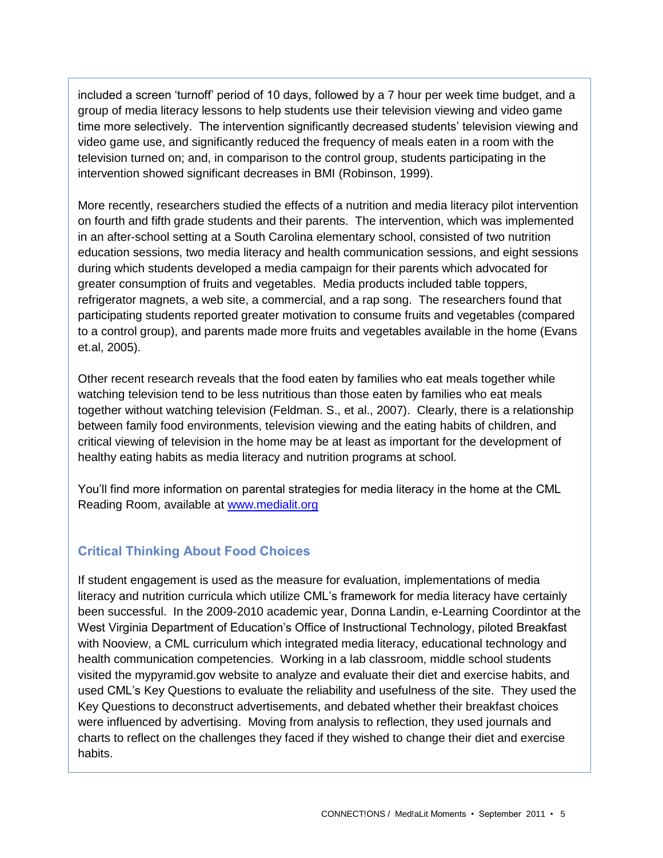included a screen 'turnoff' period of 10 days, followed by a 7 hour per week time budget, and a group of media literacy lessons to help students use their television viewing and video game time more selectively. The intervention significantly decreased students' television viewing and video game use, and significantly reduced the frequency of meals eaten in a room with the television turned on; and, in comparison to the control group, students participating in the intervention showed significant decreases in BMI (Robinson, 1999).

More recently, researchers studied the effects of a nutrition and media literacy pilot intervention on fourth and fifth grade students and their parents. The intervention, which was implemented in an after-school setting at a South Carolina elementary school, consisted of two nutrition education sessions, two media literacy and health communication sessions, and eight sessions during which students developed a media campaign for their parents which advocated for greater consumption of fruits and vegetables. Media products included table toppers, refrigerator magnets, a web site, a commercial, and a rap song. The researchers found that participating students reported greater motivation to consume fruits and vegetables (compared to a control group), and parents made more fruits and vegetables available in the home (Evans et.al, 2005).

Other recent research reveals that the food eaten by families who eat meals together while watching television tend to be less nutritious than those eaten by families who eat meals together without watching television (Feldman. S., et al., 2007). Clearly, there is a relationship between family food environments, television viewing and the eating habits of children, and critical viewing of television in the home may be at least as important for the development of healthy eating habits as media literacy and nutrition programs at school.

You'll find more information on parental strategies for media literacy in the home at the CML Reading Room, available at [www.medialit.org](http://www.medialit.org/)

## **Critical Thinking About Food Choices**

If student engagement is used as the measure for evaluation, implementations of media literacy and nutrition curricula which utilize CML's framework for media literacy have certainly been successful. In the 2009-2010 academic year, Donna Landin, e-Learning Coordintor at the West Virginia Department of Education's Office of Instructional Technology, piloted Breakfast with Nooview, a CML curriculum which integrated media literacy, educational technology and health communication competencies. Working in a lab classroom, middle school students visited the mypyramid.gov website to analyze and evaluate their diet and exercise habits, and used CML's Key Questions to evaluate the reliability and usefulness of the site. They used the Key Questions to deconstruct advertisements, and debated whether their breakfast choices were influenced by advertising. Moving from analysis to reflection, they used journals and charts to reflect on the challenges they faced if they wished to change their diet and exercise habits.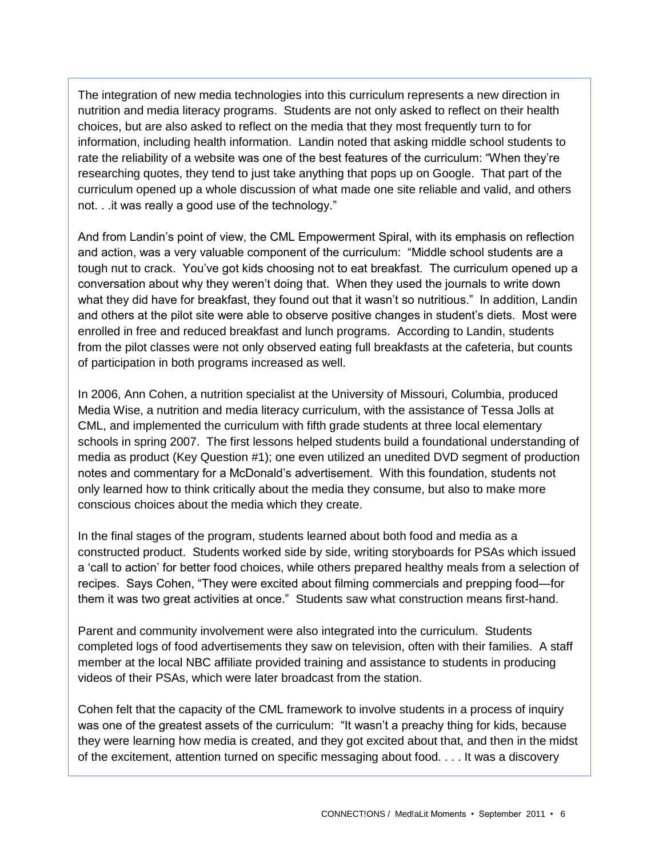The integration of new media technologies into this curriculum represents a new direction in nutrition and media literacy programs. Students are not only asked to reflect on their health choices, but are also asked to reflect on the media that they most frequently turn to for information, including health information. Landin noted that asking middle school students to rate the reliability of a website was one of the best features of the curriculum: "When they're researching quotes, they tend to just take anything that pops up on Google. That part of the curriculum opened up a whole discussion of what made one site reliable and valid, and others not. . .it was really a good use of the technology."

And from Landin's point of view, the CML Empowerment Spiral, with its emphasis on reflection and action, was a very valuable component of the curriculum: "Middle school students are a tough nut to crack. You've got kids choosing not to eat breakfast. The curriculum opened up a conversation about why they weren't doing that. When they used the journals to write down what they did have for breakfast, they found out that it wasn't so nutritious." In addition, Landin and others at the pilot site were able to observe positive changes in student's diets. Most were enrolled in free and reduced breakfast and lunch programs. According to Landin, students from the pilot classes were not only observed eating full breakfasts at the cafeteria, but counts of participation in both programs increased as well.

In 2006, Ann Cohen, a nutrition specialist at the University of Missouri, Columbia, produced Media Wise, a nutrition and media literacy curriculum, with the assistance of Tessa Jolls at CML, and implemented the curriculum with fifth grade students at three local elementary schools in spring 2007. The first lessons helped students build a foundational understanding of media as product (Key Question #1); one even utilized an unedited DVD segment of production notes and commentary for a McDonald's advertisement. With this foundation, students not only learned how to think critically about the media they consume, but also to make more conscious choices about the media which they create.

In the final stages of the program, students learned about both food and media as a constructed product. Students worked side by side, writing storyboards for PSAs which issued a 'call to action' for better food choices, while others prepared healthy meals from a selection of recipes. Says Cohen, "They were excited about filming commercials and prepping food—for them it was two great activities at once.‖ Students saw what construction means first-hand.

Parent and community involvement were also integrated into the curriculum. Students completed logs of food advertisements they saw on television, often with their families. A staff member at the local NBC affiliate provided training and assistance to students in producing videos of their PSAs, which were later broadcast from the station.

Cohen felt that the capacity of the CML framework to involve students in a process of inquiry was one of the greatest assets of the curriculum: "It wasn't a preachy thing for kids, because they were learning how media is created, and they got excited about that, and then in the midst of the excitement, attention turned on specific messaging about food. . . . It was a discovery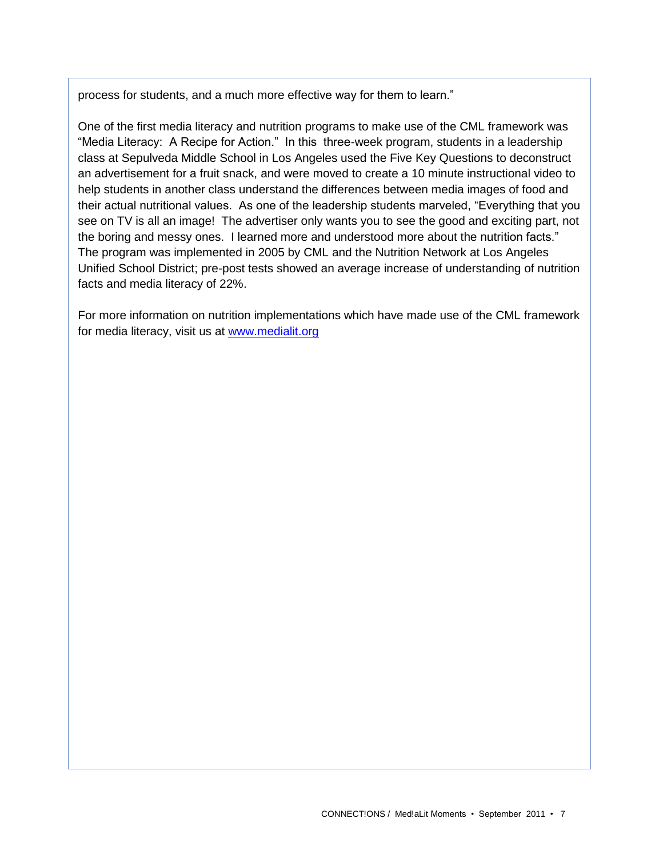process for students, and a much more effective way for them to learn."

One of the first media literacy and nutrition programs to make use of the CML framework was "Media Literacy: A Recipe for Action." In this three-week program, students in a leadership class at Sepulveda Middle School in Los Angeles used the Five Key Questions to deconstruct an advertisement for a fruit snack, and were moved to create a 10 minute instructional video to help students in another class understand the differences between media images of food and their actual nutritional values. As one of the leadership students marveled, "Everything that you see on TV is all an image! The advertiser only wants you to see the good and exciting part, not the boring and messy ones. I learned more and understood more about the nutrition facts." The program was implemented in 2005 by CML and the Nutrition Network at Los Angeles Unified School District; pre-post tests showed an average increase of understanding of nutrition facts and media literacy of 22%.

For more information on nutrition implementations which have made use of the CML framework for media literacy, visit us at [www.medialit.org](http://www.medialit.org/)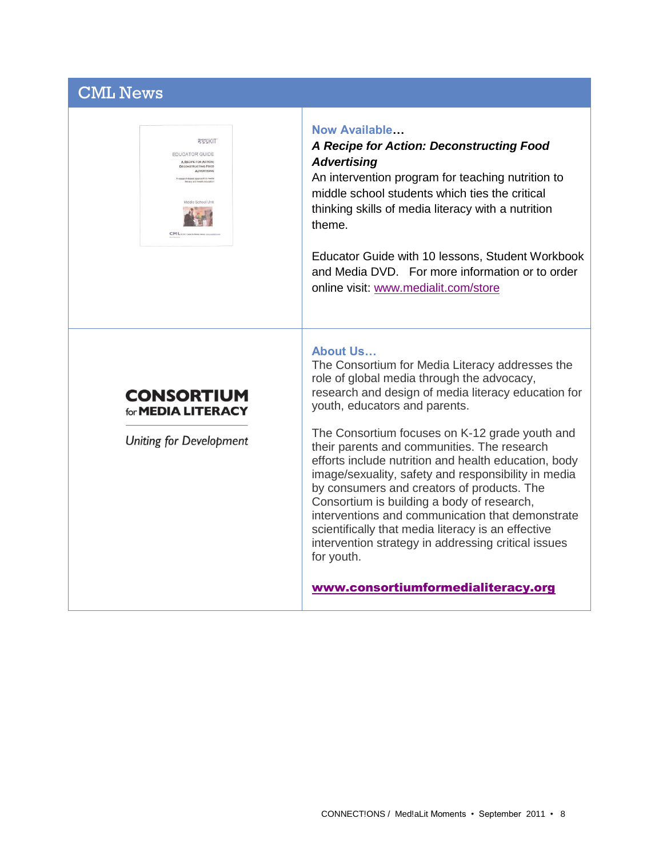# CML News



#### **Now Available…**

### *A Recipe for Action: Deconstructing Food Advertising*

An intervention program for teaching nutrition to middle school students which ties the critical thinking skills of media literacy with a nutrition theme.

Educator Guide with 10 lessons, Student Workbook and Media DVD. For more information or to order online visit: [www.medialit.com/store](http://www.medialit.com/store)

# **CONSORTIUM**

Uniting for Development

for **MEDIA LITERACY** 

### **About Us…**

The Consortium for Media Literacy addresses the role of global media through the advocacy, research and design of media literacy education for youth, educators and parents.

The Consortium focuses on K-12 grade youth and their parents and communities. The research efforts include nutrition and health education, body image/sexuality, safety and responsibility in media by consumers and creators of products. The Consortium is building a body of research, interventions and communication that demonstrate scientifically that media literacy is an effective intervention strategy in addressing critical issues for youth.

[www.consortiumformedialiteracy.org](http://www.consortiumformedialiteracy.org/)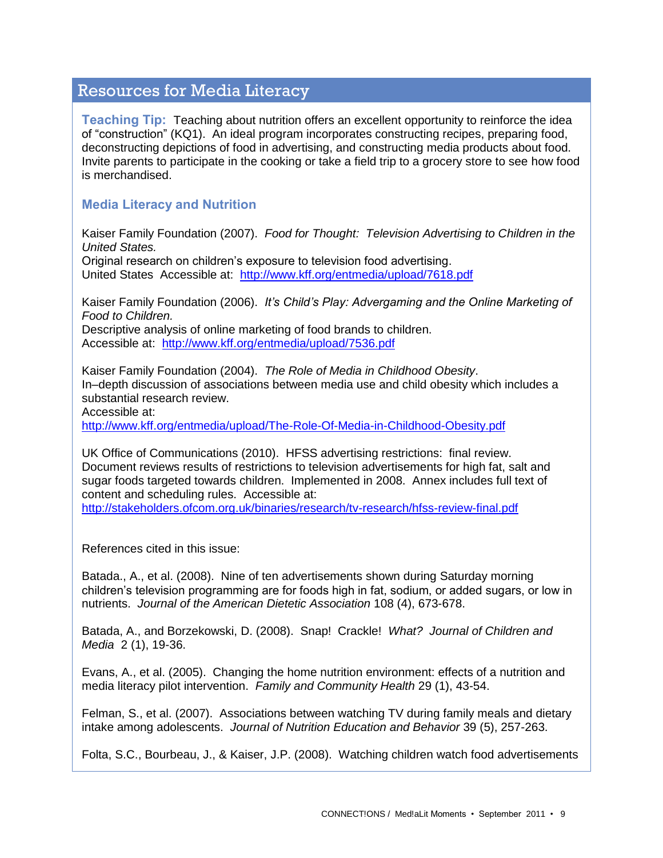## Resources for Media Literacy

**Teaching Tip:** Teaching about nutrition offers an excellent opportunity to reinforce the idea of "construction" (KQ1). An ideal program incorporates constructing recipes, preparing food, deconstructing depictions of food in advertising, and constructing media products about food. Invite parents to participate in the cooking or take a field trip to a grocery store to see how food is merchandised.

### **Media Literacy and Nutrition**

Kaiser Family Foundation (2007). *Food for Thought: Television Advertising to Children in the United States.*

Original research on children's exposure to television food advertising. United StatesAccessible at: <http://www.kff.org/entmedia/upload/7618.pdf>

Kaiser Family Foundation (2006). *It's Child's Play: Advergaming and the Online Marketing of Food to Children.* 

Descriptive analysis of online marketing of food brands to children. Accessible at: <http://www.kff.org/entmedia/upload/7536.pdf>

Kaiser Family Foundation (2004). *The Role of Media in Childhood Obesity*. In–depth discussion of associations between media use and child obesity which includes a substantial research review.

Accessible at:

<http://www.kff.org/entmedia/upload/The-Role-Of-Media-in-Childhood-Obesity.pdf>

UK Office of Communications (2010). HFSS advertising restrictions: final review. Document reviews results of restrictions to television advertisements for high fat, salt and sugar foods targeted towards children. Implemented in 2008. Annex includes full text of content and scheduling rules. Accessible at:

<http://stakeholders.ofcom.org.uk/binaries/research/tv-research/hfss-review-final.pdf>

References cited in this issue:

Batada., A., et al. (2008). Nine of ten advertisements shown during Saturday morning children's television programming are for foods high in fat, sodium, or added sugars, or low in nutrients. *Journal of the American Dietetic Association* 108 (4), 673-678.

Batada, A., and Borzekowski, D. (2008). Snap! Crackle! *What? Journal of Children and Media* 2 (1), 19-36.

Evans, A., et al. (2005). Changing the home nutrition environment: effects of a nutrition and media literacy pilot intervention. *Family and Community Health* 29 (1), 43-54.

Felman, S., et al. (2007). Associations between watching TV during family meals and dietary intake among adolescents. *Journal of Nutrition Education and Behavior* 39 (5), 257-263.

Folta, S.C., Bourbeau, J., & Kaiser, J.P. (2008). Watching children watch food advertisements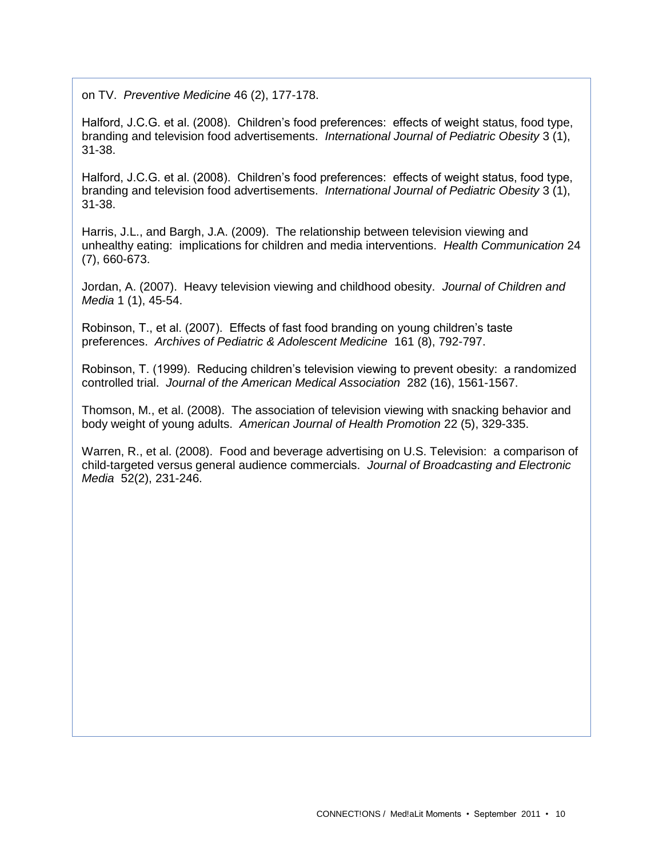on TV. *Preventive Medicine* 46 (2), 177-178.

Halford, J.C.G. et al. (2008). Children's food preferences: effects of weight status, food type, branding and television food advertisements. *International Journal of Pediatric Obesity* 3 (1), 31-38.

Halford, J.C.G. et al. (2008). Children's food preferences: effects of weight status, food type, branding and television food advertisements. *International Journal of Pediatric Obesity* 3 (1), 31-38.

Harris, J.L., and Bargh, J.A. (2009). The relationship between television viewing and unhealthy eating: implications for children and media interventions. *Health Communication* 24 (7), 660-673.

Jordan, A. (2007). Heavy television viewing and childhood obesity. *Journal of Children and Media* 1 (1), 45-54.

Robinson, T., et al. (2007). Effects of fast food branding on young children's taste preferences. *Archives of Pediatric & Adolescent Medicine* 161 (8), 792-797.

Robinson, T. (1999). Reducing children's television viewing to prevent obesity: a randomized controlled trial. *Journal of the American Medical Association* 282 (16), 1561-1567.

Thomson, M., et al. (2008). The association of television viewing with snacking behavior and body weight of young adults. *American Journal of Health Promotion* 22 (5), 329-335.

Warren, R., et al. (2008). Food and beverage advertising on U.S. Television: a comparison of child-targeted versus general audience commercials. *Journal of Broadcasting and Electronic Media* 52(2), 231-246.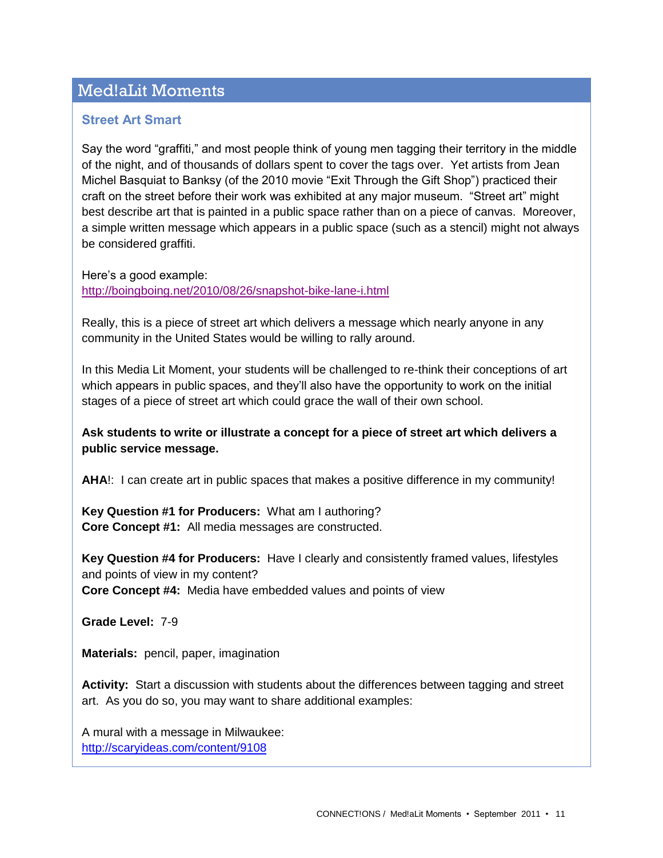## Med!aLit Moments

### **Street Art Smart**

Say the word "graffiti," and most people think of young men tagging their territory in the middle of the night, and of thousands of dollars spent to cover the tags over. Yet artists from Jean Michel Basquiat to Banksy (of the 2010 movie "Exit Through the Gift Shop") practiced their craft on the street before their work was exhibited at any major museum. "Street art" might best describe art that is painted in a public space rather than on a piece of canvas. Moreover, a simple written message which appears in a public space (such as a stencil) might not always be considered graffiti.

Here's a good example:

<http://boingboing.net/2010/08/26/snapshot-bike-lane-i.html>

Really, this is a piece of street art which delivers a message which nearly anyone in any community in the United States would be willing to rally around.

In this Media Lit Moment, your students will be challenged to re-think their conceptions of art which appears in public spaces, and they'll also have the opportunity to work on the initial stages of a piece of street art which could grace the wall of their own school.

### **Ask students to write or illustrate a concept for a piece of street art which delivers a public service message.**

**AHA**!: I can create art in public spaces that makes a positive difference in my community!

**Key Question #1 for Producers:** What am I authoring? **Core Concept #1:** All media messages are constructed.

**Key Question #4 for Producers:** Have I clearly and consistently framed values, lifestyles and points of view in my content? **Core Concept #4:** Media have embedded values and points of view

**Grade Level:** 7-9

**Materials:** pencil, paper, imagination

**Activity:** Start a discussion with students about the differences between tagging and street art. As you do so, you may want to share additional examples:

A mural with a message in Milwaukee: <http://scaryideas.com/content/9108>